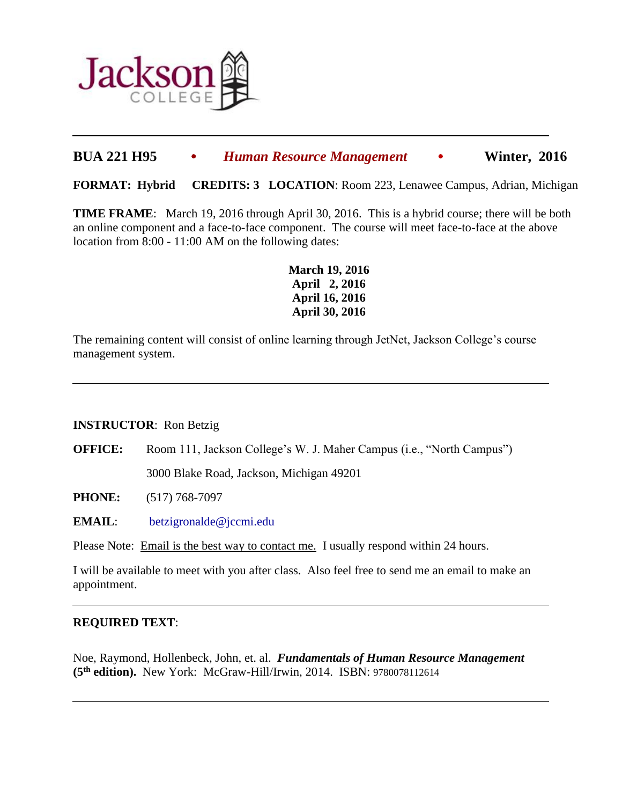

# **BUA 221 H95** • *Human Resource Management* • **Winter, 2016**

**FORMAT: Hybrid CREDITS: 3 LOCATION**: Room 223, Lenawee Campus, Adrian, Michigan

**TIME FRAME**: March 19, 2016 through April 30, 2016. This is a hybrid course; there will be both an online component and a face-to-face component. The course will meet face-to-face at the above location from 8:00 - 11:00 AM on the following dates:

> **March 19, 2016 April 2, 2016 April 16, 2016 April 30, 2016**

The remaining content will consist of online learning through JetNet, Jackson College's course management system.

### **INSTRUCTOR**: Ron Betzig

**OFFICE:** Room 111, Jackson College's W. J. Maher Campus (i.e., "North Campus")

3000 Blake Road, Jackson, Michigan 49201

**PHONE:** (517) 768-7097

**EMAIL**: [betzigronalde@jccmi.edu](mailto:betzigronalde@jccmi.edu) 

Please Note: Email is the best way to contact me. I usually respond within 24 hours.

I will be available to meet with you after class. Also feel free to send me an email to make an appointment.

### **REQUIRED TEXT**:

 $\overline{a}$ 

 $\overline{a}$ 

Noe, Raymond, Hollenbeck, John, et. al. *Fundamentals of Human Resource Management* **(5 th edition).** New York: McGraw-Hill/Irwin, 2014. ISBN: 9780078112614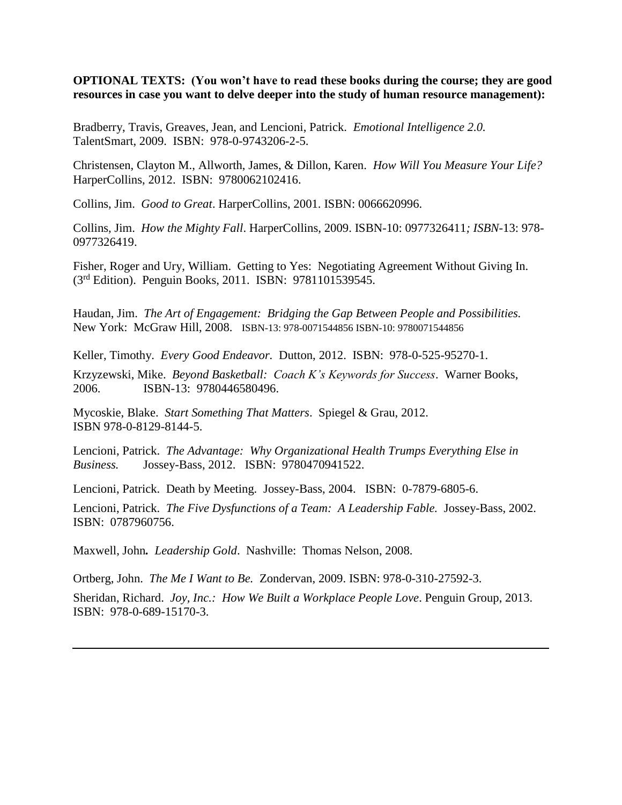**OPTIONAL TEXTS: (You won't have to read these books during the course; they are good resources in case you want to delve deeper into the study of human resource management):** 

Bradberry, Travis, Greaves, Jean, and Lencioni, Patrick. *Emotional Intelligence 2.0.* TalentSmart, 2009. ISBN: 978-0-9743206-2-5.

Christensen, Clayton M., Allworth, James, & Dillon, Karen. *How Will You Measure Your Life?* HarperCollins, 2012. ISBN: 9780062102416.

Collins, Jim. *Good to Great*. HarperCollins, 2001. ISBN: 0066620996.

Collins, Jim. *How the Mighty Fall*. HarperCollins, 2009. ISBN-10: 0977326411*; ISBN*-13: 978- 0977326419.

Fisher, Roger and Ury, William. Getting to Yes: Negotiating Agreement Without Giving In. (3rd Edition). Penguin Books, 2011. ISBN: 9781101539545.

Haudan, Jim. *The Art of Engagement: Bridging the Gap Between People and Possibilities.* New York: McGraw Hill, 2008. ISBN-13: 978-0071544856 ISBN-10: 9780071544856

Keller, Timothy. *Every Good Endeavor.* Dutton, 2012. ISBN: 978-0-525-95270-1.

Krzyzewski, Mike. *Beyond Basketball: Coach K's Keywords for Success*. Warner Books, 2006. ISBN-13: 9780446580496.

Mycoskie, Blake. *Start Something That Matters*. Spiegel & Grau, 2012. ISBN 978-0-8129-8144-5.

Lencioni, Patrick. *The Advantage: Why Organizational Health Trumps Everything Else in Business.* Jossey-Bass, 2012. ISBN: 9780470941522.

Lencioni, Patrick. Death by Meeting. Jossey-Bass, 2004. ISBN: 0-7879-6805-6.

Lencioni, Patrick. *The Five Dysfunctions of a Team: A Leadership Fable.* Jossey-Bass, 2002. ISBN: 0787960756.

Maxwell, John*. Leadership Gold*. Nashville: Thomas Nelson, 2008.

Ortberg, John. *The Me I Want to Be.* Zondervan, 2009. ISBN: 978-0-310-27592-3.

Sheridan, Richard. *Joy, Inc.: How We Built a Workplace People Love*. Penguin Group, 2013. ISBN: 978-0-689-15170-3.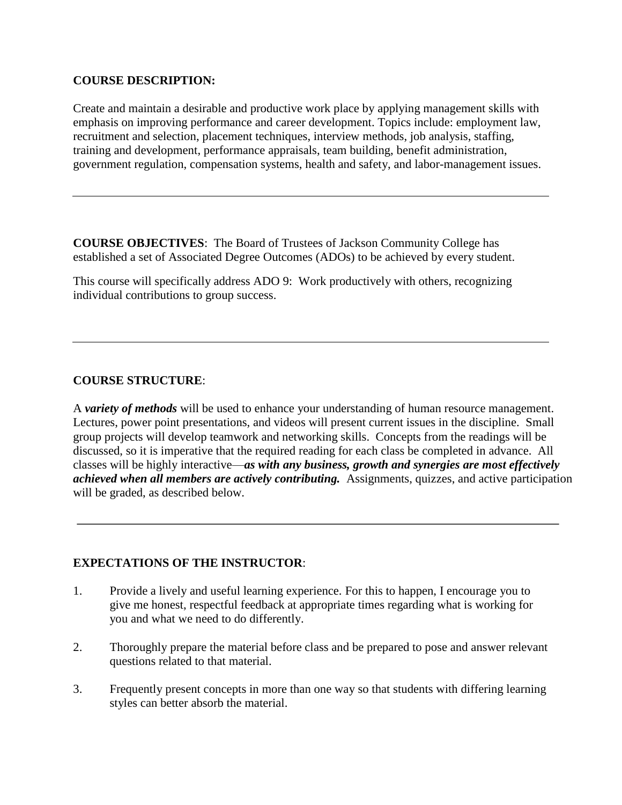## **COURSE DESCRIPTION:**

Create and maintain a desirable and productive work place by applying management skills with emphasis on improving performance and career development. Topics include: employment law, recruitment and selection, placement techniques, interview methods, job analysis, staffing, training and development, performance appraisals, team building, benefit administration, government regulation, compensation systems, health and safety, and labor-management issues.

**COURSE OBJECTIVES**: The Board of Trustees of Jackson Community College has established a set of Associated Degree Outcomes (ADOs) to be achieved by every student.

This course will specifically address ADO 9: Work productively with others, recognizing individual contributions to group success.

## **COURSE STRUCTURE**:

A *variety of methods* will be used to enhance your understanding of human resource management. Lectures, power point presentations, and videos will present current issues in the discipline. Small group projects will develop teamwork and networking skills. Concepts from the readings will be discussed, so it is imperative that the required reading for each class be completed in advance. All classes will be highly interactive—*as with any business, growth and synergies are most effectively achieved when all members are actively contributing.* Assignments, quizzes, and active participation will be graded, as described below.

### **EXPECTATIONS OF THE INSTRUCTOR**:

- 1. Provide a lively and useful learning experience. For this to happen, I encourage you to give me honest, respectful feedback at appropriate times regarding what is working for you and what we need to do differently.
- 2. Thoroughly prepare the material before class and be prepared to pose and answer relevant questions related to that material.
- 3. Frequently present concepts in more than one way so that students with differing learning styles can better absorb the material.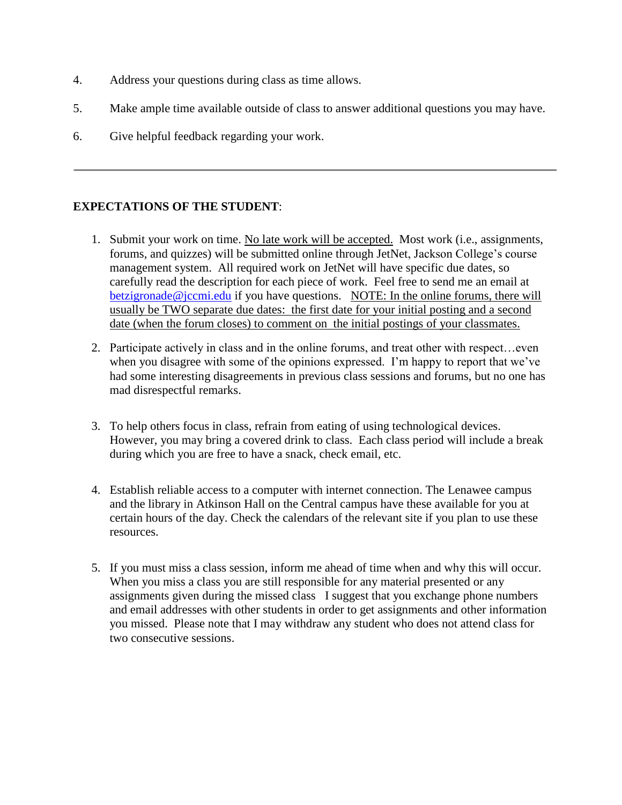- 4. Address your questions during class as time allows.
- 5. Make ample time available outside of class to answer additional questions you may have.
- 6. Give helpful feedback regarding your work.

## **EXPECTATIONS OF THE STUDENT**:

- 1. Submit your work on time. No late work will be accepted. Most work (i.e., assignments, forums, and quizzes) will be submitted online through JetNet, Jackson College's course management system. All required work on JetNet will have specific due dates, so carefully read the description for each piece of work. Feel free to send me an email at [betzigronade@jccmi.edu](mailto:betzigronade@jccmi.edu) if you have questions. NOTE: In the online forums, there will usually be TWO separate due dates: the first date for your initial posting and a second date (when the forum closes) to comment on the initial postings of your classmates.
- 2. Participate actively in class and in the online forums, and treat other with respect…even when you disagree with some of the opinions expressed. I'm happy to report that we've had some interesting disagreements in previous class sessions and forums, but no one has mad disrespectful remarks.
- 3. To help others focus in class, refrain from eating of using technological devices. However, you may bring a covered drink to class. Each class period will include a break during which you are free to have a snack, check email, etc.
- 4. Establish reliable access to a computer with internet connection. The Lenawee campus and the library in Atkinson Hall on the Central campus have these available for you at certain hours of the day. Check the calendars of the relevant site if you plan to use these resources.
- 5. If you must miss a class session, inform me ahead of time when and why this will occur. When you miss a class you are still responsible for any material presented or any assignments given during the missed class I suggest that you exchange phone numbers and email addresses with other students in order to get assignments and other information you missed. Please note that I may withdraw any student who does not attend class for two consecutive sessions.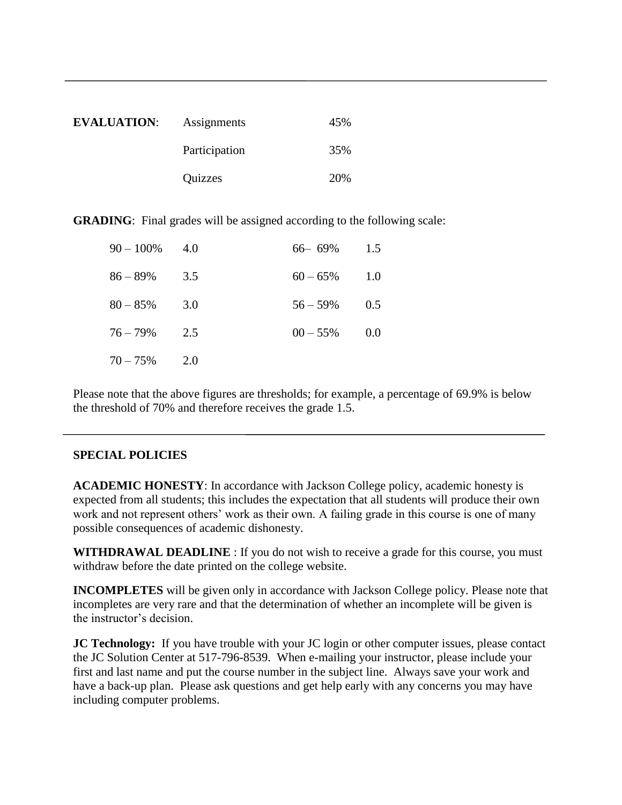| <b>EVALUATION:</b> | Assignments   | 45% |
|--------------------|---------------|-----|
|                    | Participation | 35% |
|                    | Quizzes       | 20% |

**GRADING:** Final grades will be assigned according to the following scale:

| $90 - 100\%$ 4.0 |     | 66 – 69%    | 1.5 |
|------------------|-----|-------------|-----|
| 86 – 89%         | 3.5 | $60 - 65\%$ | 1.0 |
| $80 - 85\%$      | 3.0 | $56 - 59\%$ | 0.5 |
| $76 - 79\%$      | 2.5 | $00 - 55\%$ | 0.0 |
| $70 - 75\%$      | 2.0 |             |     |

Please note that the above figures are thresholds; for example, a percentage of 69.9% is below the threshold of 70% and therefore receives the grade 1.5.

## **SPECIAL POLICIES**

**ACADEMIC HONESTY**: In accordance with Jackson College policy, academic honesty is expected from all students; this includes the expectation that all students will produce their own work and not represent others' work as their own. A failing grade in this course is one of many possible consequences of academic dishonesty.

**WITHDRAWAL DEADLINE** : If you do not wish to receive a grade for this course, you must withdraw before the date printed on the college website.

**INCOMPLETES** will be given only in accordance with Jackson College policy. Please note that incompletes are very rare and that the determination of whether an incomplete will be given is the instructor's decision.

**JC Technology:** If you have trouble with your JC login or other computer issues, please contact the JC Solution Center at 517-796-8539. When e-mailing your instructor, please include your first and last name and put the course number in the subject line. Always save your work and have a back-up plan. Please ask questions and get help early with any concerns you may have including computer problems.